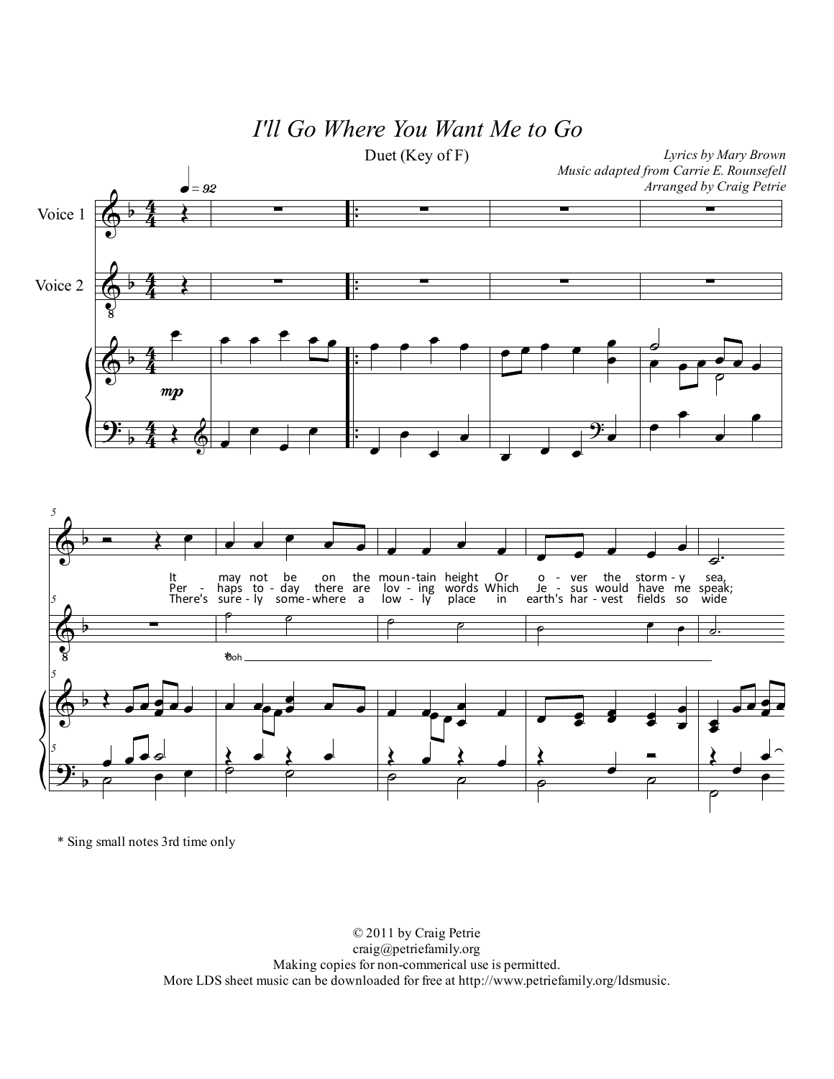## *I'll Go Where You Want Me to Go*

*Lyrics by Mary Brown*

Duet (Key of F)



\* Sing small notes 3rd time only

© 2011 by Craig Petrie craig@petriefamily.org Making copies for non-commerical use is permitted. More LDS sheet music can be downloaded for free at http://www.petriefamily.org/ldsmusic.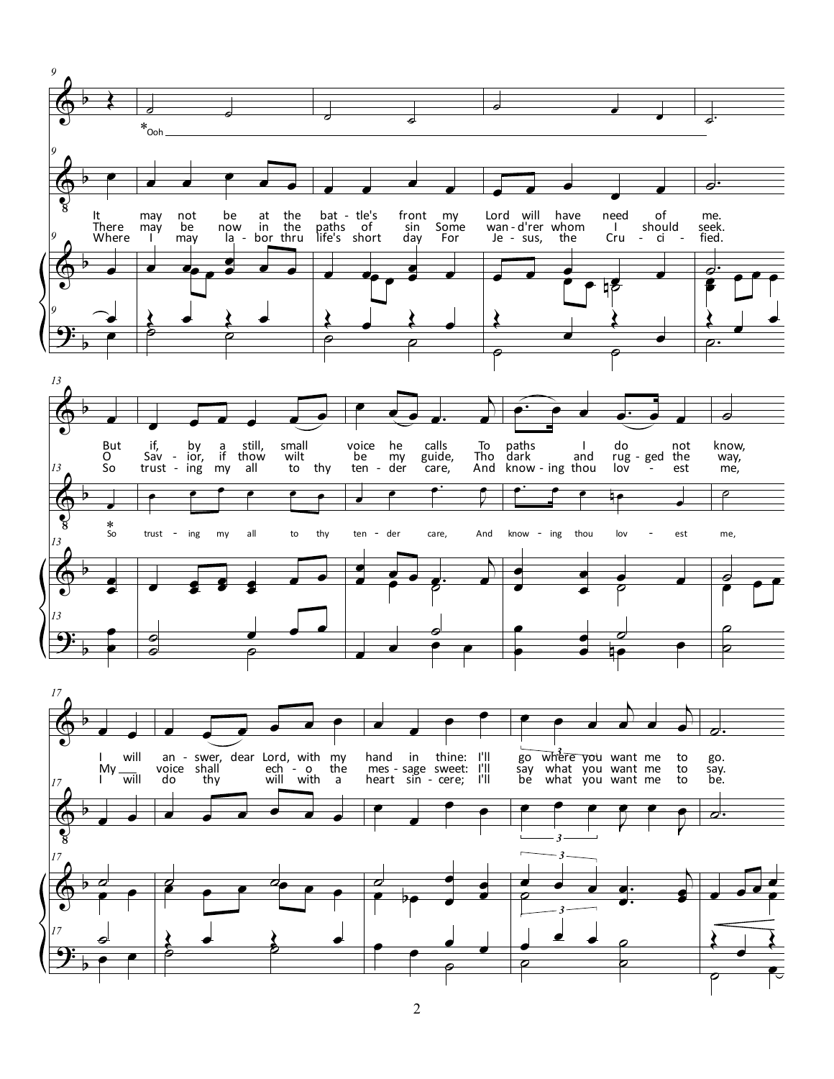